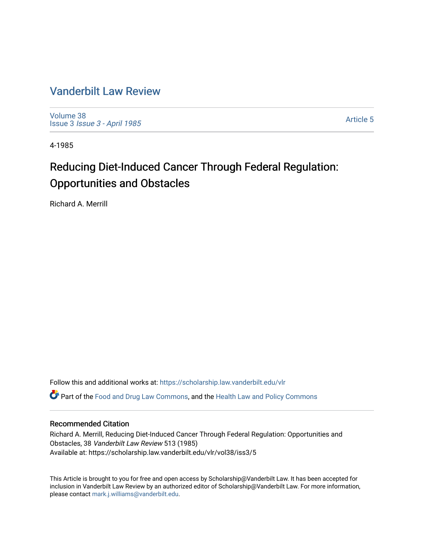# [Vanderbilt Law Review](https://scholarship.law.vanderbilt.edu/vlr)

[Volume 38](https://scholarship.law.vanderbilt.edu/vlr/vol38) Issue 3 [Issue 3 - April 1985](https://scholarship.law.vanderbilt.edu/vlr/vol38/iss3)

[Article 5](https://scholarship.law.vanderbilt.edu/vlr/vol38/iss3/5) 

4-1985

# Reducing Diet-Induced Cancer Through Federal Regulation: Opportunities and Obstacles

Richard A. Merrill

Follow this and additional works at: [https://scholarship.law.vanderbilt.edu/vlr](https://scholarship.law.vanderbilt.edu/vlr?utm_source=scholarship.law.vanderbilt.edu%2Fvlr%2Fvol38%2Fiss3%2F5&utm_medium=PDF&utm_campaign=PDFCoverPages) **C** Part of the [Food and Drug Law Commons,](http://network.bepress.com/hgg/discipline/844?utm_source=scholarship.law.vanderbilt.edu%2Fvlr%2Fvol38%2Fiss3%2F5&utm_medium=PDF&utm_campaign=PDFCoverPages) and the Health Law and Policy Commons

# Recommended Citation

Richard A. Merrill, Reducing Diet-Induced Cancer Through Federal Regulation: Opportunities and Obstacles, 38 Vanderbilt Law Review 513 (1985) Available at: https://scholarship.law.vanderbilt.edu/vlr/vol38/iss3/5

This Article is brought to you for free and open access by Scholarship@Vanderbilt Law. It has been accepted for inclusion in Vanderbilt Law Review by an authorized editor of Scholarship@Vanderbilt Law. For more information, please contact [mark.j.williams@vanderbilt.edu.](mailto:mark.j.williams@vanderbilt.edu)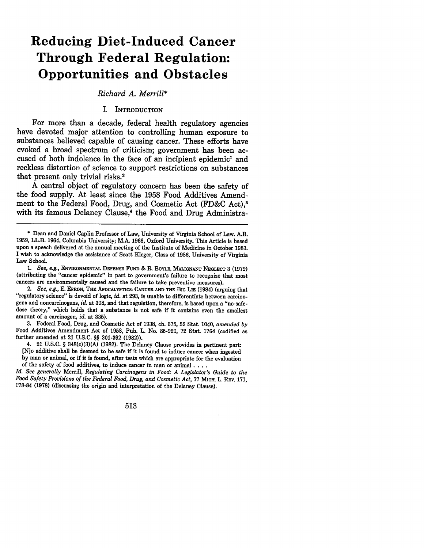# **Reducing Diet-Induced Cancer Through Federal Regulation: Opportunities and Obstacles**

*Richard A. Merrill\**

#### I. INTRODUCTION

For more than a decade, federal health regulatory agencies have devoted major attention to controlling human exposure to substances believed capable of causing cancer. These efforts have evoked a broad spectrum of criticism; government has been accused of both indolence in the face of an incipient epidemic' and reckless distortion of science to support restrictions on substances that present only trivial risks.<sup>2</sup>

**A** central object of regulatory concern has been the safety of the food supply. At least since the **1958** Food Additives Amendment to the Federal Food, Drug, and Cosmetic Act **(FD&C** Act),' with its famous Delaney Clause,<sup>4</sup> the Food and Drug Administra-

*1. See, e.g.,* **ENVIRONMENTAL DEFENSE FuND &** R. BOYLE, **MALIGNANT NEGLECT 3 (1979)** (attributing the "cancer epidemic" in part to government's failure to recognize that most cancers are environmentally caused and the failure to take preventive measures).

2. *See, e.g.,* **E. EFRON,** THE APocALYPTIcs: CANCER **AND THE BIG** LIE (1984) (arguing that "regulatory science" is devoid of logic, *id.* at **293,** is unable to differentiate between carcinogens and noncarcinogens, *id.* at **308,** and that regulation, therefore, is based upon a "no-safedose theory," which holds that a substance is not safe **if** it contains even the smallest amount of a carcinogen, *id.* at **335).**

**3.** Federal Food, Drug, and Cosmetic Act of **1938,** ch. **675, 52** Stat. 1040, *amended by* Food Additives Amendment Act of **1958,** Pub. L. No. **85-929, 72** Stat. 1764 (codified as further amended at 21 **U.S.C. §§ 301-392 (1982)).**

4. 21 **U.S.C.** § 348(c)(3)(A) **(1982).** The Delaney Clause provides in pertinent part: [N]o additive shall be deemed to be safe if it is found to induce cancer when ingested

**by** man or animal, or if it is found, after tests which are appropriate for the evaluation of the safety of food additives, to induce cancer in man or animal **....**

*Id. See generally* Merrill, *Regulating Carcinogens in Food: A Legislator's Guide to the Food Safety Provisions of the Federal Food, Drug, and Cosmetic Act,* **77 MIcH.** L. REv. **171, 178-84 (1978)** (discussing the origin and interpretation of the Delaney Clause).

**<sup>\*</sup>** Dean and Daniel Caplin Professor of Law, University of Virginia School of Law. A.B. **1959,** LL.B. 1964, Columbia University; M.A. **1966,** Oxford University. This Article is based upon a speech delivered at the annual meeting of the Institute of Medicine in October **1983.** I wish to acknowledge the assistance of Scott Kleger, Class of **1986,** University of Virginia Law School.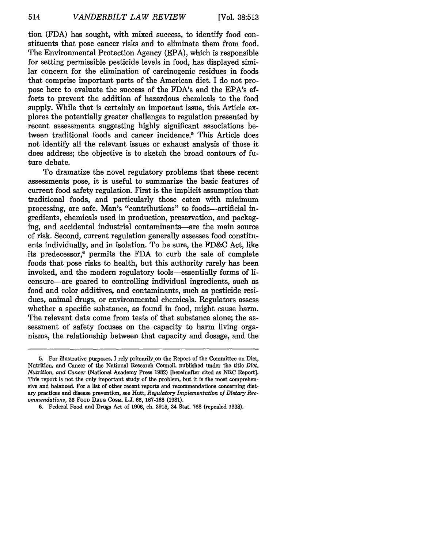tion (FDA) has sought, with mixed success, to identify food constituents that pose cancer risks and to eliminate them from food. The Environmental Protection Agency (EPA), which is responsible for setting permissible pesticide levels in food, has displayed similar concern for the elimination of carcinogenic residues in foods that comprise important parts of the American diet. I do not propose here to evaluate the success of the FDA's and the EPA's efforts to prevent the addition of hazardous chemicals to the food supply. While that is certainly an important issue, this Article explores the potentially greater challenges to regulation presented by recent assessments suggesting highly significant associations between traditional foods and cancer incidence.<sup>5</sup> This Article does not identify all the relevant issues or exhaust analysis of those it does address; the objective is to sketch the broad contours of future debate.

To dramatize the novel regulatory problems that these recent assessments pose, it is useful to summarize the basic features of current food safety regulation. First is the implicit assumption that traditional foods, and particularly those eaten with minimum processing, are safe. Man's "contributions" to foods-artificial ingredients, chemicals used in production, preservation, and packaging, and accidental industrial contaminants-are the main source of risk. Second, current regulation generally assesses food constituents individually, and in isolation. To be sure, the FD&C Act, like its predecessor,6 permits the FDA to curb the sale of complete foods that pose risks to health, but this authority rarely has been invoked, and the modern regulatory tools-essentially forms of licensure-are geared to controlling individual ingredients, such as food and color additives, and contaminants, such as pesticide residues, animal drugs, or environmental chemicals. Regulators assess whether a specific substance, as found in food, might cause harm. The relevant data come from tests of that substance alone; the assessment of safety focuses on the capacity to harm living organisms, the relationship between that capacity and dosage, and the

**<sup>5.</sup>** For illustrative purposes, I rely primarily on the Report of the Committee on Diet, Nutrition, and Cancer of the National Research Council, published under the title *Diet, Nutrition, and Cancer* (National Academy Press **1982)** [hereinafter cited as NRC Report]. This report is not the only important study of the problem, but it is the most comprehensive and balanced. For a list of other recent reports and recommendations concerning dietary practices and disease prevention, see Hutt, *Regulatory Implementation of Dietary Recommendations,* **36 FoOD DRUG** CoshL **L.J. 66, 167-168 (1981).**

**<sup>6.</sup>** Federal Food and Drugs Act of **1906,** ch. **3915,** 34 Stat. **768** (repealed **1938).**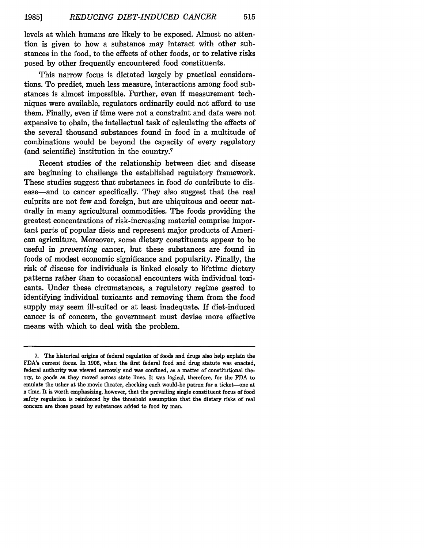levels at which humans are likely to be exposed. Almost no attention is given to how a substance may interact with other substances in the food, to the effects of other foods, or to relative risks posed by other frequently encountered food constituents.

This narrow focus is dictated largely by practical considerations. To predict, much less measure, interactions among food substances is almost impossible. Further, even if measurement techniques were available, regulators ordinarily could not afford to use them. Finally, even if time were not a constraint and data were not expensive to obain, the intellectual task of calculating the effects of the several thousand substances found in food in a multitude of combinations would be beyond the capacity of every regulatory (and scientific) institution in the country.7

Recent studies of the relationship between diet and disease are beginning to challenge the established regulatory framework. These studies suggest that substances in food *do* contribute to disease—and to cancer specifically. They also suggest that the real culprits are not few and foreign, but are ubiquitous and occur naturally in many agricultural commodities. The foods providing the greatest concentrations of risk-increasing material comprise important parts of popular diets and represent major products of American agriculture. Moreover, some dietary constituents appear to be useful in *preventing* cancer, but these substances are found in foods of modest economic significance and popularity. Finally, the risk of disease for individuals is linked closely to lifetime dietary patterns rather than to occasional encounters with individual toxicants. Under these circumstances, a regulatory regime geared to identifying individual toxicants and removing them from the food supply may seem ill-suited or at least inadequate. If diet-induced cancer is of concern, the government must devise more effective means with which to deal with the problem.

**<sup>7.</sup>** The historical origins of federal regulation of foods and drugs also help explain the FDA's current focus. In **1906,** when the first federal food and drug statute was enacted, federal authority was viewed narrowly and was confined, as a matter of constitutional theory, to goods as they moved across state lines. It was logical, therefore, for the **FDA** to emulate the usher at the movie theater, checking each would-be patron for a ticket-one at a time. It is worth emphasizing, however, that the prevailing single constituent focus of food safety regulation is reinforced **by** the threshold assumption that the dietary risks of real concern are those posed **by** substances added to food **by** man.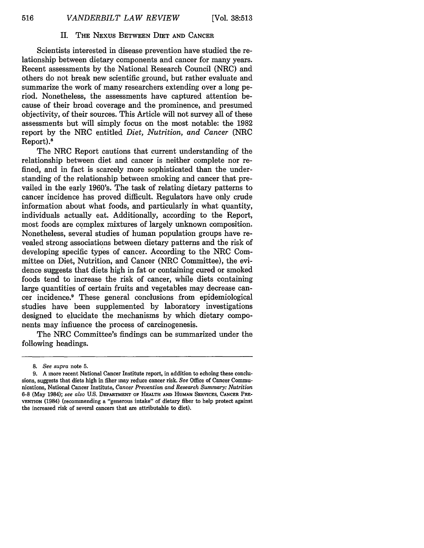### II. **THE** NEXUS **BETWEEN DIET AND CANCER**

Scientists interested in disease prevention have studied the relationship between dietary components and cancer for many years. Recent assessments by the National Research Council (NRC) and others do not break new scientific ground, but rather evaluate and summarize the work of many researchers extending over a long period. Nonetheless, the assessments have captured attention because of their broad coverage and the prominence, and presumed objectivity, of their sources. This Article will not survey all of these assessments but will simply focus on the most notable: the 1982 report by the NRC entitled *Diet, Nutrition, and Cancer* (NRC Report).8

The NRC Report cautions that current understanding of the relationship between diet and cancer is neither complete nor refined, and in fact is scarcely more sophisticated than the understanding of the relationship between smoking and cancer that prevailed in the early 1960's. The task of relating dietary patterns to cancer incidence has proved difficult. Regulators have only crude information about what foods, and particularly in what quantity, individuals actually eat. Additionally, according to the Report, most foods are complex mixtures of largely unknown composition. Nonetheless, several studies of human population groups have revealed strong associations between dietary patterns and the risk of developing specific types of cancer. According to the NRC Committee on Diet, Nutrition, and Cancer (NRC Committee), the evidence suggests that diets high in fat or containing cured or smoked foods tend to increase the risk of cancer, while diets containing large quantities of certain fruits and vegetables may decrease cancer incidence.9 These general conclusions from epidemiological studies have been supplemented by laboratory investigations designed to elucidate the mechanisms by which dietary components may influence the process of carcinogenesis.

The NRC Committee's findings can be summarized under the following headings.

*<sup>8.</sup> See supra* note 5.

**<sup>9.</sup>** A more recent National Cancer Institute report, in addition to echoing these conclusions, suggests that diets high in fiber may reduce cancer risk. *See* Office of Cancer Communications, National Cancer Institute, *Cancer Prevention and Research Summary: Nutrition* **6-8** (May 1984); *see also* U.S. DEPARTMENT **OF HEALTH AND HUMAN SERVICES, CANCER PRE-VENTION** (1984) (recommending a "generous intake" of dietary fiber to help protect against the increased risk of several cancers that are attributable to diet).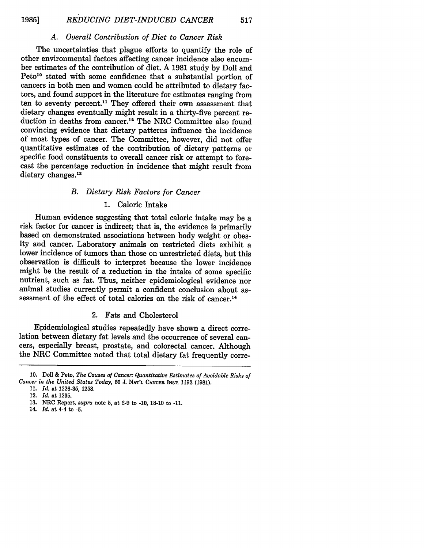### *A. Overall Contribution of Diet to Cancer Risk*

The uncertainties that plague efforts to quantify the role of other environmental factors affecting cancer incidence also encumber estimates of the contribution of diet. A 1981 study by Doll and Peto<sup>10</sup> stated with some confidence that a substantial portion of cancers in both men and women could be attributed to dietary factors, and found support in the literature for estimates ranging from ten to seventy percent.11 They offered their own assessment that dietary changes eventually might result in a thirty-five percent reduction in deaths from cancer.12 The NRC Committee also found convincing evidence that dietary patterns influence the incidence of most types of cancer. The Committee, however, did not offer quantitative estimates of the contribution of dietary patterns or specific food constituents to overall cancer risk or attempt to forecast the percentage reduction in incidence that might result from dietary changes.<sup>13</sup>

### *B. Dietary Risk Factors for Cancer*

### 1. Caloric Intake

Human evidence suggesting that total caloric intake may be a risk factor for cancer is indirect; that is, the evidence is primarily based on demonstrated associations between body weight or obesity and cancer. Laboratory animals on restricted diets exhibit a lower incidence of tumors than those on unrestricted diets, but this observation is difficult to interpret because the lower incidence might be the result of a reduction in the intake of some specific nutrient, such as fat. Thus, neither epidemiological evidence nor animal studies currently permit a confident conclusion about assessment of the effect of total calories on the risk of cancer.<sup>14</sup>

# 2. Fats and Cholesterol

Epidemiological studies repeatedly have shown a direct correlation between dietary fat levels and the occurrence of several cancers, especially breast, prostate, and colorectal cancer. Although the NRC Committee noted that total dietary fat frequently corre-

- **13.** NRC Report, *supra* note **5,** at **2-9** to **-10, 18-10** to **-11.**
- 14. *Id.* at 4-4 to **-5.**

**<sup>10.</sup> Doll &** Peto, *The Causes of Cancer: Quantitative Estimates of Avoidable Risks of Cancer in the United States Today, 66* **J. NAT'L CANCER** INST. **1192 (1981).**

**<sup>11.</sup>** *Id.* at **1226-35, 1258.**

<sup>12.</sup> *Id.* at **1235.**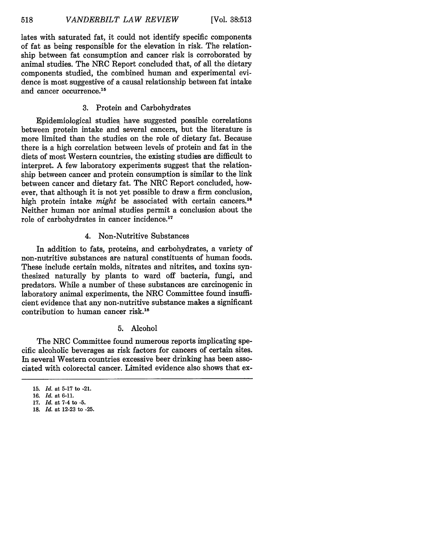lates with saturated fat, it could not identify specific components of fat as being responsible for the elevation in risk. The relationship between fat consumption and cancer risk is corroborated **by** animal studies. The NRC Report concluded that, of all the dietary components studied, the combined human and experimental evidence is most suggestive of a causal relationship between fat intake and cancer occurrence.<sup>15</sup>

# **3.** Protein and Carbohydrates

Epidemiological studies have suggested possible correlations between protein intake and several cancers, but the literature is more limited than the studies on the role of dietary fat. Because there is a high correlation between levels of protein and fat in the diets of most Western countries, the existing studies are difficult to interpret. **A** few laboratory experiments suggest that the relationship between cancer and protein consumption is similar to the link between cancer and dietary fat. The NRC Report concluded, however, that although it is not yet possible to draw a firm conclusion, high protein intake *might* be associated with certain cancers.<sup>16</sup> Neither human nor animal studies permit a conclusion about the role of carbohydrates in cancer incidence.<sup>17</sup>

# 4. Non-Nutritive Substances

In addition to fats, proteins, and carbohydrates, a variety of non-nutritive substances are natural constituents of human foods. These include certain molds, nitrates and nitrites, and toxins synthesized naturally by plants to ward off bacteria, fungi, and predators. While a number of these substances are carcinogenic in laboratory animal experiments, the NRC Committee found insufficient evidence that any non-nutritive substance makes a significant contribution to human cancer risk.18

# 5. Alcohol

The NRC Committee found numerous reports implicating specific alcoholic beverages as risk factors for cancers of certain sites. In several Western countries excessive beer drinking has been associated with colorectal cancer. Limited evidence also shows that ex-

**<sup>15.</sup>** *Id.* at **5-17** to **-21.**

**<sup>16.</sup>** *Id.* at **6-11.**

**<sup>17.</sup>** *Id.* at 7-4 to **-5.**

**<sup>18.</sup>** *Id.* at **12-23** to **-25.**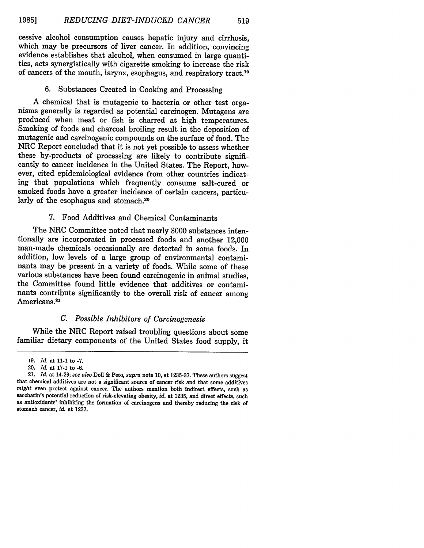cessive alcohol consumption causes hepatic injury and cirrhosis, which may be precursors of liver cancer. In addition, convincing evidence establishes that alcohol, when consumed in large quantities, acts synergistically with cigarette smoking to increase the risk of cancers of the mouth, larynx, esophagus, and respiratory tract.19

#### **6.** Substances Created in Cooking and Processing

A chemical that is mutagenic to bacteria or other test organisms generally is regarded as potential carcinogen. Mutagens are produced when meat or fish is charred at high temperatures. Smoking of foods and charcoal broiling result in the deposition of mutagenic and carcinogenic compounds on the surface of food. The NRC Report concluded that it is not yet possible to assess whether these by-products of processing are likely to contribute significantly to cancer incidence in the United States. The Report, however, cited epidemiological evidence from other countries indicating that populations which frequently consume salt-cured or smoked foods have a greater incidence of certain cancers, particularly of the esophagus and stomach.<sup>20</sup>

# 7. Food Additives and Chemical Contaminants

The NRC Committee noted that nearly 3000 substances intentionally are incorporated in processed foods and another 12,000 man-made chemicals occasionally are detected in some foods. In addition, low levels of a large group of environmental contaminants may be present in a variety of foods. While some of these various substances have been found carcinogenic in animal studies, the Committee found little evidence that additives or contaminants contribute significantly to the overall risk of cancer among Americans.<sup>21</sup>

#### *C. Possible Inhibitors of Carcinogenesis*

While the NRC Report raised troubling questions about some familiar dietary components of the United States food supply, it

<sup>19.</sup> *Id.* at 11-1 to -7.

<sup>20.</sup> *Id.* at 17-1 to -6.

<sup>21.</sup> *Id.* at 14-29; *see also* Doll & Peto, *supra* note 10, at 1235-37. These authors suggest that chemical additives are not a significant source of cancer risk and that some additives  $might$  even protect against cancer. The authors mention both indirect effects, such as saccharin's potential reduction of risk-elevating obesity,  $id$ . at 1235, and direct effects, such as antioxidants' inhihiting the formati stomach cancer, *id.* at **1237.**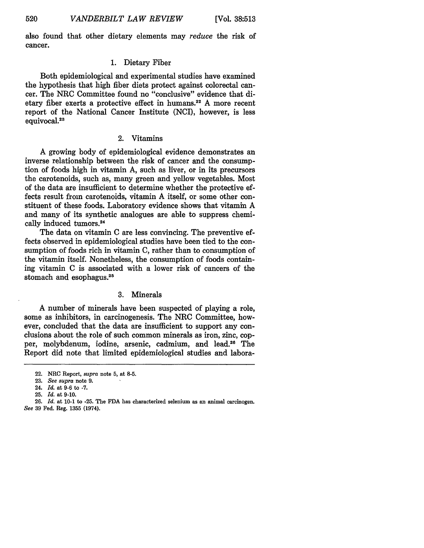also found that other dietary elements may *reduce* the risk of cancer.

#### 1. Dietary Fiber

Both epidemiological and experimental studies have examined the hypothesis that high fiber diets protect against colorectal cancer. The NRC Committee found no "conclusive" evidence that dietary fiber exerts a protective effect in humans. 22 A more recent report of the National Cancer Institute (NCI), however, is less equivocal.<sup>23</sup>

# 2. Vitamins

A growing body of epidemiological evidence demonstrates an inverse relationship between the risk of cancer and the consumption of foods high in vitamin A, such as liver, or in its precursors the carotenoids, such as, many green and yellow vegetables. Most of the data are insufficient to determine whether the protective effects result from carotenoids, vitamin A itself, or some other constituent of these foods. Laboratory evidence shows that vitamin A and many of its synthetic analogues are able to suppress chemically induced tumors.24

The data on vitamin C are less convincing. The preventive effects observed in epidemiological studies have been tied to the consumption of foods rich in vitamin C, rather than to consumption of the vitamin itself. Nonetheless, the consumption of foods containing vitamin C is associated with a lower risk of cancers of the stomach and esophagus.<sup>25</sup>

# 3. Minerals

A number of minerals have been suspected of playing a role, some as inhibitors, in carcinogenesis. The NRC Committee, however, concluded that the data are insufficient to support any conclusions about the role of such common minerals as iron, zinc, copper, molybdenum, iodine, arsenic, cadmium, and lead.<sup>26</sup> The Report did note that limited epidemiological studies and labora-

24. *Id.* at 9-6 to **-7.**

520

<sup>22.</sup> NRC Report, *supra* note **5,** at **8-5.**

<sup>23.</sup> *See supra* note 9.

<sup>25.</sup> *Id.* at 9-10.

**<sup>26.</sup>** *Id.* at **10-1** to **-25.** The **FDA** has characterized selenium as an animal carcinogen. *See* 39 Fed. Reg. 1355 (1974).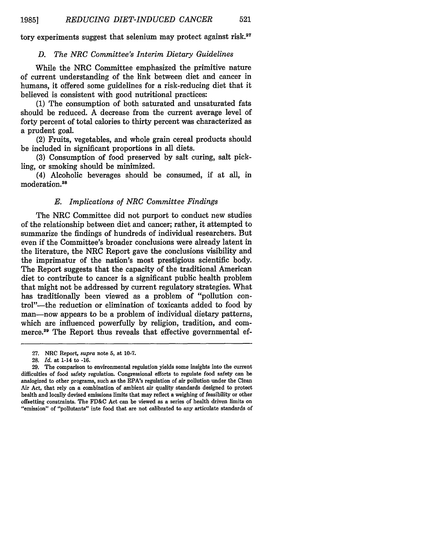tory experiments suggest that selenium may protect against risk.<sup>27</sup>

#### *D. The NRC Committee's Interim Dietary Guidelines*

While the NRC Committee emphasized the primitive nature of current understanding of the link between diet and cancer in humans, it offered some guidelines for a risk-reducing diet that it believed is consistent with good nutritional practices:

(1) The consumption of both saturated and unsaturated fats should be reduced. A decrease from the current average level of forty percent of total calories to thirty percent was characterized as a prudent goal.

(2) Fruits, vegetables, and whole grain cereal products should be included in significant proportions in all diets.

(3) Consumption of food preserved by salt curing, salt pickling, or smoking should be minimized.

(4) Alcoholic beverages should be consumed, if at all, in moderation.28

# *E. Implications of NRC Committee Findings*

The NRC Committee did not purport to conduct new studies of the relationship between diet and cancer; rather, it attempted to summarize the findings of hundreds of individual researchers. But even if the Committee's broader conclusions were already latent in the literature, the NRC Report gave the conclusions visibility and the imprimatur of the nation's most prestigious scientific body. The Report suggests that the capacity of the traditional American diet to contribute to cancer is a significant public health problem that might not be addressed by current regulatory strategies. What has traditionally been viewed as a problem of "pollution control"-the reduction or elimination of toxicants added to food by man-now appears to be a problem of individual dietary patterns, which are influenced powerfully by religion, tradition, and commerce.<sup>29</sup> The Report thus reveals that effective governmental ef-

<sup>27.</sup> NRC Report, *supra* note **5,** at **10-7.**

<sup>28.</sup> *Id.* at 1-14 to -16.

<sup>29.</sup> The comparison to environmental regulation yields some insights into the current difficulties of food safety regulation. Congressional efforts to regulate food safety can be analogized to other programs, such as the EPA's regulation of air pollution under the Clean Air Act, that rely on a combination of ambient air quality standards designed to protect health and locally devised emissions limits that may reflect a weighing of feasibility or other offsetting constraints. The FD&C Act can be viewed as a series of health driven limits on "emission" of "pollutants" into food that are not calibrated to any articulate standards of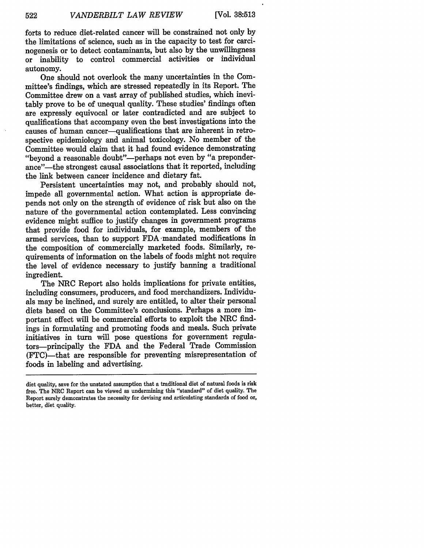522

forts to reduce diet-related cancer will be constrained not only **by** the limitations of science, such as in the capacity to test for carcinogenesis or to detect contaminants, but also **by** the unwillingness or inability to control commercial activities or individual autonomy.

One should not overlook the many uncertainties in the Committee's findings, which are stressed repeatedly in its Report. The Committee drew on a vast array of published studies, which inevitably prove to be of unequal quality. These studies' findings often are expressly equivocal or later contradicted and are subject to qualifications that accompany even the best investigations into the causes of human cancer-qualifications that are inherent in retrospective epidemiology and animal toxicology. No member of the Committee would claim that it had found evidence demonstrating "beyond a reasonable doubt"-perhaps not even by "a preponderance"-the strongest causal associations that it reported, including the link between cancer incidence and dietary fat.

Persistent uncertainties may not, and probably should not, impede all governmental action. What action is appropriate depends not only on the strength of evidence of risk but also on the nature of the governmental action contemplated. Less convincing evidence might suffice to justify changes in government programs that provide food for individuals, for example, members of the armed services, than to support **FDA** -mandated modifications in the composition of commercially marketed foods. Similarly, requirements of information on the labels of foods might not require the level of evidence necessary to justify banning a traditional ingredient.

The NRC Report also holds implications for private entities, including consumers, producers, and food merchandizers. Individuals may be inclined, and surely are entitled, to alter their personal diets based on the Committee's conclusions. Perhaps a more important effect will be commercial efforts to exploit the NRC findings in formulating and promoting foods and meals. Such private initiatives in turn will pose questions for government regulators-principally the **FDA** and the Federal Trade Commission (FTC)-that are responsible for preventing misrepresentation of foods in labeling and advertising.

diet quality, save for the unstated assumption that a traditional diet of natural foods is risk free. The NRC Report can be viewed as undermining this "standard" of diet quality. The Report surely demonstrates the necessity for devising and articulating standards of food or, better, diet quality.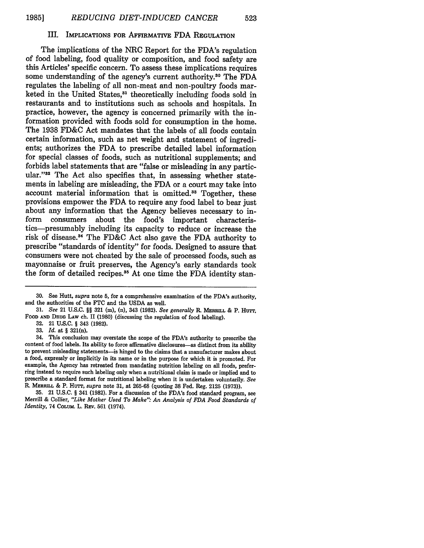#### III. **IMPLICATIONS FOR AFFIRMATIVE FDA REGULATION**

The implications of the NRC Report for the FDA's regulation of food labeling, food quality or composition, and food safety are this Articles' specific concern. To assess these implications requires some understanding of the agency's current authority.30 The **FDA** regulates the labeling of all non-meat and non-poultry foods marketed in the United States,<sup>31</sup> theoretically including foods sold in restaurants and to institutions such as schools and hospitals. In practice, however, the agency is concerned primarily with the information provided with foods sold for consumption in the home. The **1938** FD&C Act mandates that the labels of all foods contain certain information, such as net weight and statement of ingredients; authorizes the **FDA** to prescribe detailed label information for special classes of foods, such as nutritional supplements; and forbids label statements that are "false or misleading in any particular."<sup>32</sup> The Act also specifies that, in assessing whether statements in labeling are misleading, the **FDA** or a court may take into account material information that is omitted.33 Together, these provisions empower the **FDA** to require any food label to bear just about any information that the Agency believes necessary to inform consumers about the food's important characteristics-presumably including its capacity to reduce or increase the risk of disease.<sup>34</sup> The FD&C Act also gave the FDA authority to prescribe "standards of identity" for foods. Designed to assure that consumers were not cheated **by** the sale of processed foods, such as mayonnaise or fruit preserves, the Agency's early standards took the form of detailed recipes.<sup>35</sup> At one time the FDA identity stan-

**32.** 21 U.S.C. § 343 (1982).

33. *Id.* at § 321(n).

35. 21 U.S.C. § 341 (1982). For a discussion of the FDA's food standard program, see Merrill & Collier, *"Like Mother Used To Make". An Analysis of FDA Food Standards of Identity,* 74 COLUM. L. REv. **561** (1974).

**<sup>30.</sup>** See Hutt, *supra* note **5,** for a comprehensive examination of the FDA's authority, and the authorities of the FTC and the USDA as well.

**<sup>31.</sup>** *See* 21 U.S.C. §§ **321** (m), (n), 343 (1982). *See generally R.* **MERRILL &** P. Hurr, FOOD **AND DRUG LAw** ch. **11 (1980)** (discussing the regulation of food labeling).

<sup>34.</sup> This conclusion may overstate the scope of the FDA's authority to prescribe the content of food labels. Its ability to force affirmative disclosures-as distinct from its ability to prevent misleading statements-is hinged to the claims that a manufacturer makes about a food, expressly or implicitly in its name or in the purpose for which it is promoted. For example, the Agency has retreated from mandating nutrition labeling on all foods, preferring instead to require such labeling only when a nutritional claim is made or implied and to prescribe a standard format for nutritional labeling when it is undertaken voluntarily. *See* R. **MERRILL &** P. Hurr, *supra* note 31, at 265-68 (quoting **38** Fed. Reg. 2125 (1973)).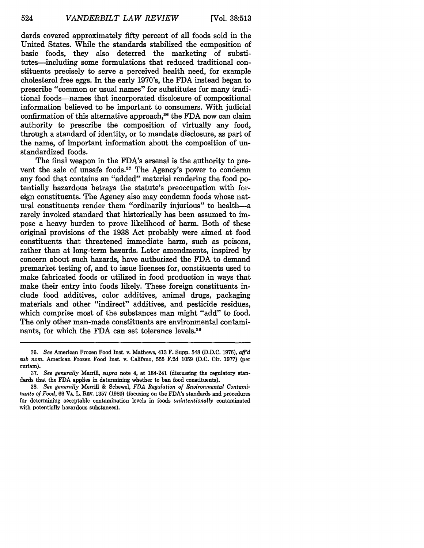dards covered approximately fifty percent of all foods sold in the United States. While the standards stabilized the composition of basic foods, they also deterred the marketing of substitutes-including some formulations that reduced traditional constituents precisely to serve a perceived health need, for example cholesterol free eggs. In the early 1970's, the FDA instead began to prescribe "common or usual names" for substitutes for many traditional foods-names that incorporated disclosure of compositional information believed to be important to consumers. With judicial confirmation of this alternative approach.<sup>36</sup> the FDA now can claim authority to prescribe the composition of virtually any food, through a standard of identity, or to mandate disclosure, as part of the name, of important information about the composition of unstandardized foods.

The final weapon in the FDA's arsenal is the authority to prevent the sale of unsafe foods.<sup>37</sup> The Agency's power to condemn any food that contains an "added" material rendering the food potentially hazardous betrays the statute's preoccupation with foreign constituents. The Agency also may condemn foods whose natural constituents render them "ordinarily injurious" to health-a rarely invoked standard that historically has been assumed to impose a heavy burden to prove likelihood of harm. Both of these original provisions of the 1938 Act probably were aimed at food constituents that threatened immediate harm, such as poisons, rather than at long-term hazards. Later amendments, inspired by concern about such hazards, have authorized the FDA to demand premarket testing of, and to issue licenses for, constituents used to make fabricated foods or utilized in food production in ways that make their entry into foods likely. These foreign constituents include food additives, color additives, animal drugs, packaging materials and other "indirect" additives, and pesticide residues, which comprise most of the substances man might "add" to food. The only other man-made constituents are environmental contaminants, for which the FDA can set tolerance levels.<sup>38</sup>

**<sup>36.</sup>** *See* American Frozen Food Inst. v. Mathews, 413 F. Supp. 548 (D.D.C. 1976), *afl'd sub noma.* American Frozen Food Inst. v. Califano, 555 F.2d 1059 (D.C. Cir. 1977) (per curiam).

**<sup>37.</sup>** *See generally* Merrill, *supra* note 4, at 184-241 (discussing the regulatory standards that the **FDA** applies in determining whether to ban food constituents).

**<sup>38.</sup>** *See generally* Merrill & Schewel, *FDA Regulation of Environmental Contaminants of Food,* **66** VA. L. **REv.** 1357 **(1980)** (focusing on the FDA's standards and procedures for determining acceptable contamination levels in foods *unintentionally* contaminated with potentially hazardous substances).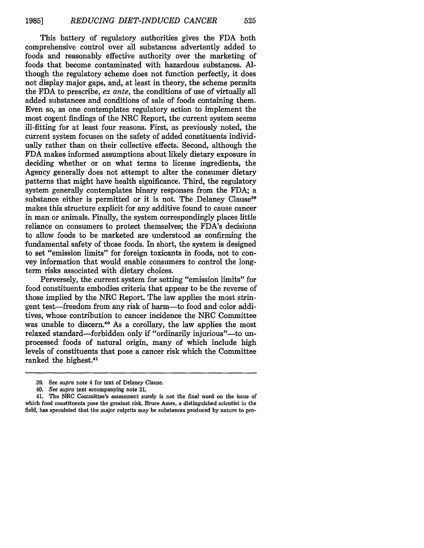This battery of regulatory authorities gives the FDA both comprehensive control over all substances advertently added to foods and reasonably effective authority over the marketing of foods that become contaminated with hazardous substances. Although the regulatory scheme does not function perfectly, it does not display major gaps, and, at least in theory, the scheme permits the FDA to prescribe, *ex ante,* the conditions of use of virtually all added substances and conditions of sale of foods containing them. Even so, as one contemplates regulatory action to implement the most cogent findings of the NRC Report, the current system seems ill-fitting for at least four reasons. First, as previously noted, the current system focuses on the safety of added constituents individually rather than on their collective effects. Second, although the **FDA** makes informed assumptions about likely dietary exposure in deciding whether or on what terms to license ingredients, the Agency generally does not attempt to alter the consumer dietary patterns that might have health significance. Third, the regulatory system generally contemplates binary responses from the **FDA;** a substance either is permitted or it is not. The Delaney Clause<sup>39</sup> makes this structure explicit for any additive found to cause cancer in man or animals. Finally, the system correspondingly places little reliance on consumers to protect themselves; the FDA's decisions to allow foods to be marketed are understood as confirming the fundamental safety of those foods. In short, the system is designed to set "emission limits" for foreign toxicants in foods, not to convey information that would enable consumers to control the longterm risks associated with dietary choices.

Perversely, the current system for setting "emission limits" for food constituents embodies criteria that appear to be the reverse of those implied **by** the NRC Report. The law applies the most stringent test-freedom from any risk of harm-to food and color additives, whose contribution to cancer incidence the NRC Committee was unable to discern.<sup>40</sup> As a corollary, the law applies the most relaxed standard-forbidden only if "ordinarily injurious"-to unprocessed foods of natural origin, many of which include high levels of constituents that pose a cancer risk which the Committee ranked the highest.<sup>41</sup>

**<sup>39.</sup>** See *supra* note 4 for text of Delaney Clause.

*<sup>40.</sup> See supra* text accompanying note 21.

<sup>41.</sup> The NRC Committee's assessment surely is not the final word on the issue of which food constituents pose the greatest risk. Bruce Ames, a distinguished scientist in the field, has speculated that the major culprits may be substances produced by nature to pro-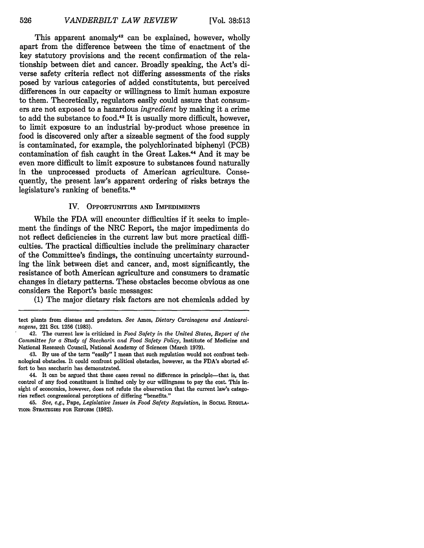This apparent anomaly<sup>42</sup> can be explained, however, wholly apart from the difference between the time of enactment of the key statutory provisions and the recent confirmation of the relationship between diet and cancer. Broadly speaking, the Act's diverse safety criteria reflect not differing assessments of the risks posed by various categories of added constitutents, but perceived differences in our capacity or willingness to limit human exposure to them. Theoretically, regulators easily could assure that consumers are not exposed to a hazardous *ingredient* by making it a crime to add the substance to food.<sup>43</sup> It is usually more difficult, however, to limit exposure to an industrial by-product whose presence in food is discovered only after a sizeable segment of the food supply is contaminated, for example, the polychlorinated biphenyl (PCB) contamination of fish caught in the Great Lakes.<sup>44</sup> And it may be even more-difficult to limit exposure to substances found naturally in the unprocessed products of American agriculture. Consequently, the present law's apparent ordering of risks betrays the legislature's ranking of benefits.45

#### IV. OPPORTUNITIES **AND** IMPEDIMENTS

While the **FDA** will encounter difficulties if it seeks to implement the findings of the NRC Report, the major impediments do not reflect deficiencies in the current law but more practical difficulties. The practical difficulties include the preliminary character of the Committee's findings, the continuing uncertainty surrounding the link between diet and cancer, and, most significantly, the resistance of both American agriculture and consumers to dramatic changes in dietary patterns. These obstacles become obvious as one considers the Report's basic messages:

**(1)** The major dietary risk factors are not chemicals added **by**

- 43. **By** use of the term "easily" I mean that such regulation would not confront technological obstacles. It could confront political obstacles, however, as the FDA's aborted effort to ban saccharin has demonstrated.
- 44. It can be argued that these cases reveal no difference in principle-that is, that control of any food constituent is limited only by our willingness to pay the cost. This insight of economics, however, does not refute the observation that the current law's categories reflect congressional perceptions of differing "benefits."
- 45. *See, e.g.,* Pape, *Legislative Issues in Food Safety Regulation,* in SociAL **REOULA-TION: STRATEGIES FOR** REFORM (1982).

tect plants from disease and predators. *See* Ames, *Dietary Carcinogens and Anticarcinogens,* 221 **ScL 1256 (1983).**

<sup>42.</sup> The current law is criticized in *Food Safety in the United States, Report of the Committee for a Study of Saccharin and Food Safety Policy,* Institute of Medicine and National Research Council, National Academy of Sciences (March **1979).**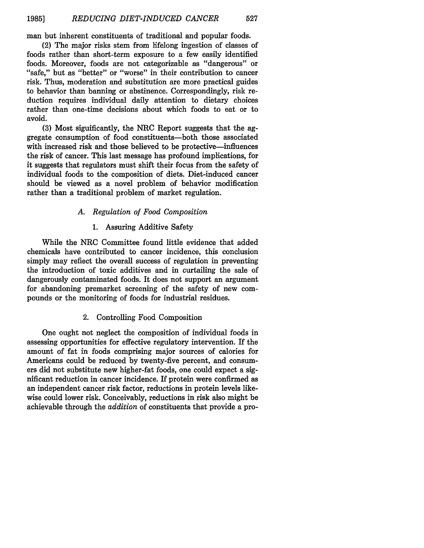527

man but inherent constituents of traditional and popular foods.

(2) The major risks stem from lifelong ingestion of classes of foods rather than short-term exposure to a few easily identified foods. Moreover, foods are not categorizable as "dangerous" or "safe," but as "better" or "worse" in their contribution to cancer risk. Thus, moderation and substitution are more practical guides to behavior than banning or abstinence. Correspondingly, risk reduction requires individual daily attention to dietary choices rather than one-time decisions about which foods to eat or to avoid.

(3) Most significantly, the NRC Report suggests that the aggregate consumption of food constituents-both those associated with increased risk and those believed to be protective—influences the risk of cancer. This last message has profound implications, for it suggests that regulators must shift their focus from the safety of individual foods to the composition of diets. Diet-induced cancer should be viewed as a novel problem of behavior modification rather than a traditional problem of market regulation.

# *A. Regulation of Food Composition*

# 1. Assuring Additive Safety

While the NRC Committee found little evidence that added chemicals have contributed to cancer incidence, this conclusion simply may reflect the overall success of regulation in preventing the introduction of toxic additives and in curtailing the sale of dangerously contaminated foods. It does not support an argument for abandoning premarket screening of the safety of new compounds or the monitoring of foods for industrial residues.

### 2. Controlling Food Composition

One ought not neglect the composition of individual foods in assessing opportunities for effective regulatory intervention. If the amount of fat in foods comprising major sources of calories for Americans could be reduced **by** twenty-five percent, and consumers did not substitute new higher-fat foods, one could expect a significant reduction in cancer incidence. If protein were confirmed as an independent cancer risk factor, reductions in protein levels likewise could lower risk. Conceivably, reductions in risk also might be achievable through the *addition* of constituents that provide a pro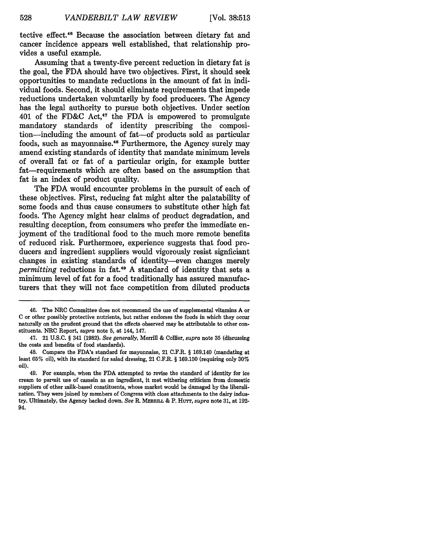tective effect.46 Because the association between dietary fat and cancer incidence appears well established, that relationship provides a useful example.

Assuming that a twenty-five percent reduction in dietary fat is the goal, the FDA should have two objectives. First, it should seek opportunities to mandate reductions in the amount of fat in individual foods. Second, it should eliminate requirements that impede reductions undertaken voluntarily by food producers. The Agency has the legal authority to pursue both objectives. Under section 401 of the FD&C Act, $47$  the FDA is empowered to promulgate mandatory standards of identity prescribing the composition-including the amount of fat-of products sold as particular foods, such as mayonnaise.<sup>48</sup> Furthermore, the Agency surely may amend existing standards of identity that mandate minimum levels of overall fat or fat of a particular origin, for example butter fat—requirements which are often based on the assumption that fat is an index of product quality.

The FDA would encounter problems in the pursuit of each of these objectives. First, reducing fat might alter the palatability of some foods and thus cause consumers to substitute other high fat foods. The Agency might hear claims of product degradation, and resulting deception, from consumers who prefer the immediate enjoyment of the traditional food to the much more remote benefits of reduced risk. Furthermore, experience suggests that food producers and ingredient suppliers would vigorously resist signficiant changes in existing standards of identity-even changes merely *permitting* reductions in fat.49 A standard of identity that sets a minimum level of fat for a food traditionally has assured manufacturers that they will not face competition from diluted products

<sup>46.</sup> The NRC Committee does not recommend the use of supplemental vitamins **A** or C or other possibly protective nutrients, but rather endorses the foods in which they occur naturally on the prudent ground that the effects observed may be attributable to other constituents. NRC Report, *supra* note 5, at 144, 147.

<sup>47. 21</sup> U.S.C. § 341 (1982). *See generally,* Merrill & Collier, *supra* note 35 (discussing the costs and benefits of food standards).

<sup>48.</sup> Compare the FDA's standard for mayonnaise, 21 C.F.R. § 169.140 (mandating at least **65%** oil), with its standard for salad dressing, 21 C.F.R. § **169.150** (requiring only **30%** oil).

<sup>49.</sup> For example, when the **FDA** attempted to revise the standard of identity for ice cream to permit use of cassein as an ingredient, it met withering criticism from domestic suppliers of other milk-based constituents, whose market would be damaged by the liberalization. They were joined by members of Congress with close attachments to the dairy industry. Ultimately, the Agency backed down. *See* R. **MERRILL** & P. HUTT, *supra* note **31,** at 192- 94.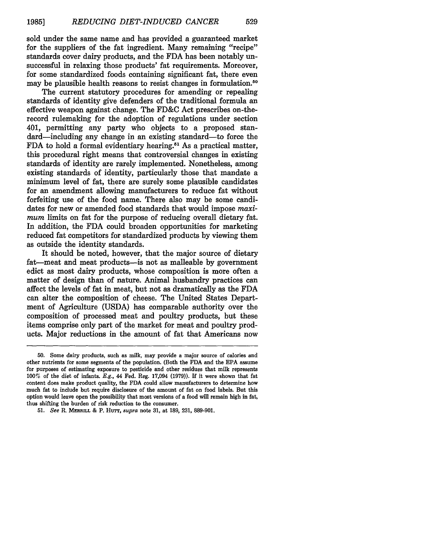sold under the same name and has provided a guaranteed market for the suppliers of the fat ingredient. Many remaining "recipe" standards cover dairy products, and the FDA has been notably unsuccessful in relaxing those products' fat requirements. Moreover, for some standardized foods containing significant fat, there even may be plausible health reasons to resist changes in formulation.<sup>50</sup>

The current statutory procedures for amending or repealing standards of identity give defenders of the traditional formula an effective weapon against change. The FD&C Act prescribes on-therecord rulemaking for the adoption of regulations under section 401, permitting any party who objects to a proposed standard—including any change in an existing standard—to force the FDA to hold a formal evidentiary hearing.51 As a practical matter, this procedural right means that controversial changes in existing standards of identity are rarely implemented. Nonetheless, among existing standards of identity, particularly those that mandate a minimum level of fat, there are surely some plausible candidates for an amendment allowing manufacturers to reduce fat without forfeiting use of the food name. There also may be some candidates for new or amended food standards that would impose *maximum* limits on fat for the purpose of reducing overall dietary fat. In addition, the FDA could broaden opportunities for marketing reduced fat competitors for standardized products by viewing them as outside the identity standards.

It should be noted, however, that the major source of dietary fat—meat and meat products—is not as malleable by government edict as most dairy products, whose composition is more often a matter of design than of nature. Animal husbandry practices can affect the levels of fat in meat, but not as dramatically as the **FDA** can alter the composition of cheese. The United States Department of Agriculture (USDA) has comparable authority over the composition of processed meat and poultry products, but these items comprise only part of the market for meat and poultry products. Major reductions in the amount of fat that Americans now

**<sup>50.</sup>** Some dairy products, such as milk, may provide a major source of calories and other nutrients for some segments of the population. (Both the FDA and the **EPA** assume for purposes of estimating exposure to pesticide and other residues that milk represents 100% of the diet of infants. *E.g.,* 44 Fed. Reg. 17,094 (1979)). If it were shown that fat content does make product quality, the FDA could allow manufacturers to determine how much fat to include but require disclosure of the amount of fat on food labels. But this option would leave open the possibility that most versions of a food will remain high in fat, thus shifting the burden of risk reduction to the consumer.

<sup>51.</sup> *See* R **MERRILL** & P. Hurr, *supra* note 31, at 189, 231, 889-901.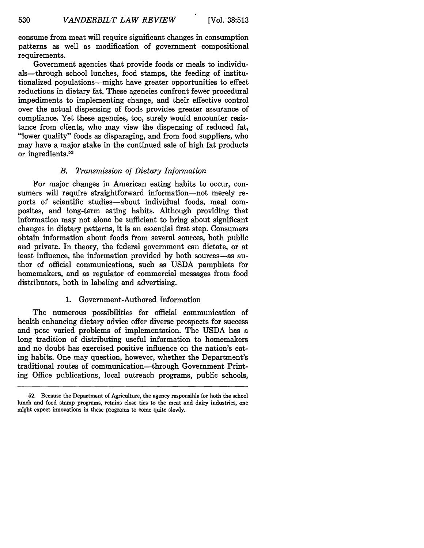consume from meat will require significant changes in consumption patterns as well as modification of government compositional requirements.

Government agencies that provide foods or meals to individuals—through school lunches, food stamps, the feeding of institutionalized populations-might have greater opportunities to effect reductions in dietary fat. These agencies confront fewer procedural impediments to implementing change, and their effective control over the actual dispensing of foods provides greater assurance of compliance. Yet these agencies, too, surely would encounter resistance from clients, who may view the dispensing of reduced fat, "lower quality" foods as disparaging, and from food suppliers, who may have a major stake in the continued sale of high fat products or ingredients.<sup>52</sup>

## *B. Transmission of Dietary Information*

For major changes in American eating habits to occur, consumers will require straightforward information--not merely reports of scientific studies-about individual foods, meal composites, and long-term eating habits. Although providing that information may not alone be sufficient to bring about significant changes in dietary patterns, it is an essential first step. Consumers obtain information about foods from several sources, both public and private. In theory, the federal government can dictate, or at least influence, the information provided by both sources-as author of official communications, such as USDA pamphlets for homemakers, and as regulator of commercial messages from food distributors, both in labeling and advertising.

# 1. Government-Authored Information

The numerous possibilities for official communication of health enhancing dietary advice offer diverse prospects for success and pose varied problems of implementation. The USDA has a long tradition of distributing useful information to homemakers and no doubt has exercised positive influence on the nation's eating habits. One may question, however, whether the Department's traditional routes of communication-through Government Printing Office publications, local outreach programs, public schools,

<sup>52.</sup> Because the Department of Agriculture, the agency responsible for both the school lunch and food stamp programs, retains close ties to the meat and dairy industries, one might expect innovations in these programs to come quite slowly.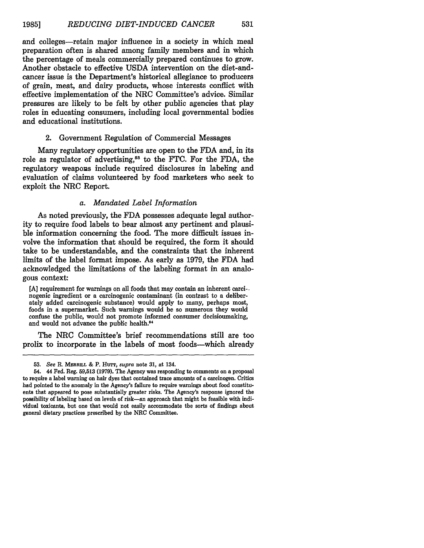and colleges-retain major influence in a society in which meal preparation often is shared among family members and in which the percentage of meals commercially prepared continues to grow. Another obstacle to effective USDA intervention on the diet-andcancer issue is the Department's historical allegiance to producers of grain, meat, and dairy products, whose interests conflict with effective implementation of the NRC Committee's advice. Similar pressures are likely to be felt by other public agencies that play roles in educating consumers, including local governmental bodies and educational institutions.

# 2. Government Regulation of Commercial Messages

Many regulatory opportunities are open to the FDA and, in its role as regulator of advertising,<sup>53</sup> to the FTC. For the FDA, the regulatory weapons include required disclosures in labeling and evaluation of claims volunteered by food marketers who seek to exploit the NRC Report.

#### *a. Mandated Label Information*

As noted previously, the FDA possesses adequate legal authority to require food labels to bear almost any pertinent and plausible information concerning the food. The more difficult issues involve the information that should be required, the form it should take to be understandable, and the constraints that the inherent limits of the label format impose. As early as 1979, the FDA had acknowledged the limitations of the labeling format in an analogous context:

**[A]** requirement for warnings on all foods that may contain an inherent carci-. nogenic ingredient or a carcinogenic contaminant (in contrast to a deliberately added carcinogenic substance) would apply to many, perhaps most, foods in a supermarket. Such warnings would be so numerous they would confuse the public, would not promote informed consumer decisioumaking, and would not advance the public health.<sup>54</sup>

The NRC Committee's brief recommendations still are too prolix to incorporate in the labels of most foods-which already

**<sup>53.</sup>** *See* P. **MERRILL** & P. HuTr, *supra* note **31,** at 134.

<sup>54. 44</sup> Fed. Reg. 59,513 (1979). The Agency was responding to comments on a proposal to require a label warning on hair dyes that contained trace amounts of a carcinogen. Critics had pointed to the anomaly in the Agency's failure to require warnings about food constituents that appeared to pose substantially greater risks. The Agency's response ignored the possibility of labeling based on levels of risk-an approach that might be feasible with individual toxicants, but one that would not easily accommodate the sorts of findings about general dietary practices prescribed by the NRC Committee.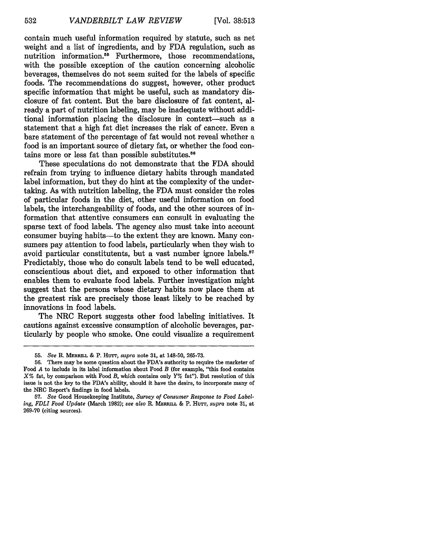contain much useful information required by statute, such as net weight and a list of ingredients, and by FDA regulation, such as nutrition information.<sup>55</sup> Furthermore, those recommendations, with the possible exception of the caution concerning alcoholic beverages, themselves do not seem suited for the labels of specific foods. The recommendations do suggest, however, other product specific information that might be useful, such as mandatory disclosure of fat content. But the bare disclosure of fat content, already a part of nutrition labeling, may be inadequate without additional information placing the disclosure in context-such as a statement that a high fat diet increases the risk of cancer. Even a bare statement of the percentage of fat would not reveal whether a food is an important source of dietary fat, or whether the food contains more or less fat than possible substitutes.<sup>56</sup>

These speculations do not demonstrate that the FDA should refrain from trying to influence dietary habits through mandated label information, but they do hint at the complexity of the undertaking. As with nutrition labeling, the FDA must consider the roles of particular foods in the diet, other useful information on food labels, the interchangeability of foods, and the other sources of information that attentive consumers can consult in evaluating the sparse text of food labels. The agency also must take into account consumer buying habits-to the extent they are known. Many consumers pay attention to food labels, particularly when they wish to avoid particular constitutents, but a vast number ignore labels.<sup>57</sup> Predictably, those who do consult labels tend to be well educated, conscientious about diet, and exposed to other information that enables them to evaluate food labels. Further investigation might suggest that the persons whose dietary habits now place them at the greatest risk are precisely those least likely to be reached by innovations in food labels.

The NRC Report suggests other food labeling initiatives. It cautions against excessive consumption of alcoholic beverages, particularly by people who smoke. One could visualize a requirement

<sup>55.</sup> *See* R. **MERRLL** & P. HuTr, *supra* note 31, at 148-50, 265-73.

<sup>56.</sup> There may be some question about the FDA's authority to require the marketer of Food *A* to include in its label information about Food *B* (for example, "this food contains *X%* fat, by comparison with Food *B,* which contains only Y% fat"). But resolution of this issue is not the key to the FDA's ability, should it have the desire, to incorporate many of the NRC Report's findings in food labels.

<sup>57.</sup> *See* Good Housekeeping Institute, *Survey of Consumer Response to Food Labeling, FDLI Food Update* (March 1982); *see also* R. **MERRmILL** & P. Hurr, *supra* note **31,** at 269-70 (citing sources).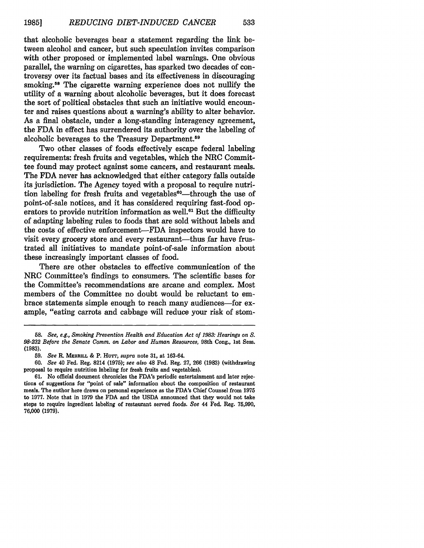that alcoholic beverages bear a statement regarding the link between alcohol and cancer, but such speculation invites comparison with other proposed or implemented label warnings. One obvious parallel, the warning on cigarettes, has sparked two decades of controversy over its factual bases and its effectiveness in discouraging smoking.<sup>58</sup> The cigarette warning experience does not nullify the utility of a warning about alcoholic beverages, but it does forecast the sort of political obstacles that such an initiative would encounter and raises questions about a warning's ability to alter behavior. As a final obstacle, under a long-standing interagency agreement, the FDA in effect has surrendered its authority over the labeling of alcoholic beverages to the Treasury Department.<sup>59</sup>

Two other classes of foods effectively escape federal labeling requirements: fresh fruits and vegetables, which the NRC Committee found may protect against some cancers, and restaurant meals. The FDA never has acknowledged that either category falls outside its jurisdiction. The Agency toyed with a proposal to require nutrition labeling for fresh fruits and vegetables<sup>60</sup>—through the use of point-of-sale notices, and it has considered requiring fast-food operators to provide nutrition information as well.<sup>61</sup> But the difficulty of adapting labeling rules to foods that are sold without labels and the costs of effective enforcement-FDA inspectors would have to visit every grocery store and every restaurant—thus far have frustrated all initiatives to mandate point-of-sale information about these increasingly important classes of food.

There are other obstacles to effective communication of the NRC Committee's findings to consumers. The scientific bases for the Committee's recommendations are arcane and complex. Most members of the Committee no doubt would be reluctant to embrace statements simple enough to reach many audiences-for example, "eating carrots and cabbage will reduce your risk of stom-

**<sup>58.</sup>** *See, e.g., Smoking Prevention Health and Education Act of 1983: Hearings on S. 98-232 Before the Senate Comm. on Labor and Human Resources,* 98th Cong., 1st Sess. (1983).

**<sup>59.</sup>** *See* R. **MERRILL &** P. Hurr, *supra* note **31,** at **163-64.**

<sup>60.</sup> *See* 40 Fed. Reg. 8214 (1975); *see also* 48 Fed. Reg. 27, 266 (1983) (withdrawing proposal to require nutrition labeling for fresh fruits and vegetables).

<sup>61.</sup> No official document chronicles the FDA's periodic entertainment and later rejections of suggestions for "point of sale" information about the composition of restaurant meals. The author here draws on personal experience as the FDA's Chief Counsel from 1975 to 1977. Note that in 1979 the FDA and the USDA announced that they would not take steps to require ingredient labeling of restaurant served foods. *See* 44 Fed. Reg. 75,990, 76,000 (1979).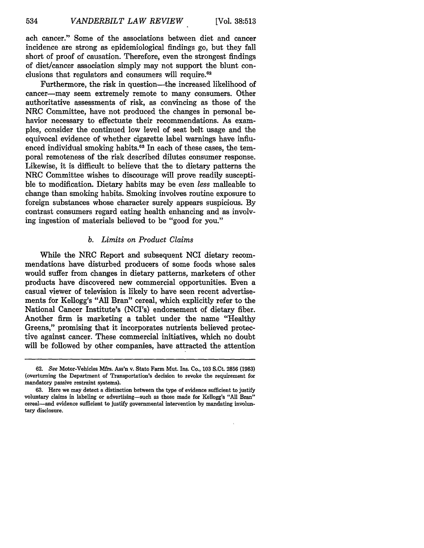ach cancer." Some of the associations between diet and cancer incidence are strong as epidemiological findings go, but they fall short of proof of causation. Therefore, even the strongest findings of diet/cancer association simply may not support the blunt conclusions that regulators and consumers will require. $62$ 

Furthermore, the risk in question—the increased likelihood of cancer-may seem extremely remote to many consumers. Other authoritative assessments of risk, as convincing as those of the NRC Committee, have not produced the changes in personal behavior necessary to effectuate their recommendations. As examples, consider the continued low level of seat belt usage and the equivocal evidence of whether cigarette label warnings have influenced individual smoking habits.<sup>63</sup> In each of these cases, the temporal remoteness of the risk described dilutes consumer response. Likewise, it is difficult to believe that the to dietary patterns the NRC Committee wishes to discourage will prove readily susceptible to modification. Dietary habits may be even *less* malleable to change than smoking habits. Smoking involves routine exposure to foreign substances whose character surely appears suspicious. By contrast consumers regard eating health enhancing and as involving ingestion of materials believed to be "good for you."

#### *b. Limits on Product Claims*

While the NRC Report and subsequent NCI dietary recommendations have disturbed producers of some foods whose sales would suffer from changes in dietary patterns, marketers of other products have discovered new commercial opportunities. Even a casual viewer of television is likely to have seen recent advertisements for Kellogg's "All Bran" cereal, which explicitly refer to the National Cancer Institute's (NCI's) endorsement of dietary fiber. Another firm is marketing a tablet under the name "Healthy Greens," promising that it incorporates nutrients believed protective against cancer. These commercial initiatives, which no doubt will be followed by other companies, have attracted the attention

**<sup>62.</sup>** See Motor-Vehicles Mfrs. Ass'n v. State Farm Mut. Ins. Co., **103 S.Ct. 2856 (1983)** (overturning the Department of Transportation's decision to revoke the requirement for mandatory passive restraint systems).

**<sup>63.</sup>** Here we may detect a distinction between the type of evidence sufficient to justify voluntary claims in labeling or advertising-such as those made for Kellogg's **"All** Bran" cereal-and evidence sufficient to justify governmental intervention **by** mandating involuntary disclosure.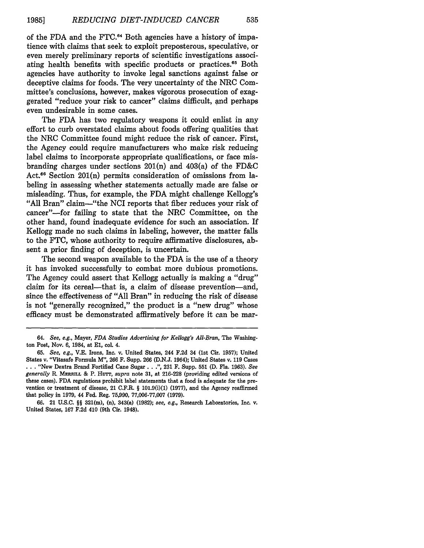of the FDA and the FTC.<sup>64</sup> Both agencies have a history of impatience with claims that seek to exploit preposterous, speculative, or even merely preliminary reports of scientific investigations associating health benefits with specific products or practices.<sup>65</sup> Both agencies have authority to invoke legal sanctions against false or deceptive claims for foods. The very uncertainty of the NRC Committee's conclusions, however, makes vigorous prosecution of exaggerated "reduce your risk to cancer" claims difficult, and perhaps even undesirable in some cases.

The FDA has two regulatory weapons it could enlist in any effort to curb overstated claims about foods offering qualities that the NRC Committee found might reduce the risk of cancer. First, the Agency could require manufacturers who make risk reducing label claims to incorporate appropriate qualifications, or face misbranding charges under sections 201(n) and 403(a) of the FD&C Act.<sup>66</sup> Section 201(n) permits consideration of omissions from labeling in assessing whether statements actually made are false or misleading. Thus, for example, the FDA might challenge Kellogg's "All Bran" claim-"the NCI reports that fiber reduces your risk of cancer"-for failing to state that the NRC Committee, on the other hand, found inadequate evidence for such an association. If Kellogg made no such claims in labeling, however, the matter falls to the FTC, whose authority to require affirmative disclosures, absent a prior finding of deception, is uncertain.

The second weapon available to the FDA is the use of a theory it has invoked successfully to combat more dubious promotions. The Agency could assert that Kellogg actually is making a "drug" claim for its cereal—that is, a claim of disease prevention—and, since the effectiveness of "All Bran" in reducing the risk of disease is not "generally recognized," the product is a "new drug" whose efficacy must be demonstrated affirmatively before it can be mar-

*<sup>64.</sup> See, e.g.,* Mayer, *FDA Studies Advertising for Kellogg's All-Bran,* The Washington Post, Nov. 6, 1984, at El, col. 4.

**<sup>65.</sup>** *See, e.g.,* V.E. Irons, Inc. v. United States, 244 **F.2d** 34 (1st Cir. **1957);** United States v. "Vitasafe Formula M", 266 F. Supp. 266 (D.N.J. 1964); United States v. 119 Cases **. . .** "New Dextra Brand Fortified Cane Sugar.. .", 231 F. Supp. **551 (D.** Fla. 1963). *See generally* R. **MERRILL** & P. HuTr, *supra* note 31, at 216-228 (providing edited versions of these cases). FDA regulations prohibit label statements that a food is adequate for the prevention or treatment of disease, 21 C.F.R. § 101.9(i)(1) (1977), and the Agency reaffirmed that policy in 1979, 44 Fed. Reg. 75,990, 77,006-77,007 (1979).

**<sup>66.</sup>** 21 U.S.C. §§ 321(m), (n), 343(a) (1982); *see, e.g.,* Research Laboratories, Inc. v. United States, 167 F.2d 410 (9th Cir. 1948).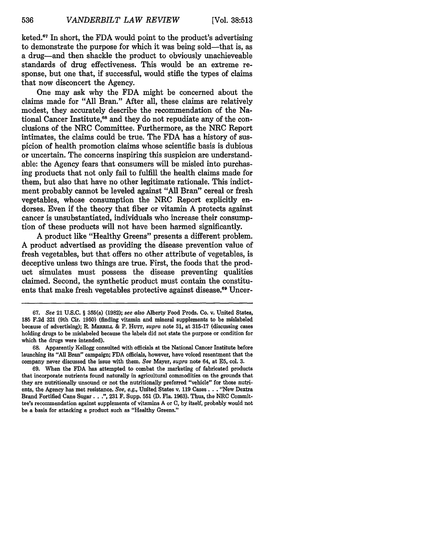[Vol. **38:513**

keted. $67$  In short, the FDA would point to the product's advertising to demonstrate the purpose for which it was being sold—that is, as a drug-and then shackle the product to obviously unachieveable standards of drug effectiveness. This would be an extreme response, but one that, if successful, would stifle the types of claims that now disconcert the Agency.

One may ask why the FDA might be concerned about the claims made for "All Bran." After all, these claims are relatively modest, they accurately describe the recommendation of the National Cancer Institute,<sup>68</sup> and they do not repudiate any of the conclusions of the NRC Committee. Furthermore, as the NRC Report intimates, the claims could be true. The FDA has a history of suspicion of health promotion claims whose scientific basis is dubious or uncertain. The concerns inspiring this suspicion are understandable: the Agency fears that consumers will be misled into purchasing products that not only fail to fulfill the health claims made for them, but also that have no other legitimate rationale. This indictment probably cannot be leveled against "All Bran" cereal or fresh vegetables, whose consumption the NRC Report explicitly endorses. Even if the theory that fiber or vitamin A protects against cancer is unsubstantiated, individuals who increase their consumption of these products will not have been harmed significantly.

A product like "Healthy Greens" presents a different problem. A product advertised as providing the disease prevention value of fresh vegetables, but that offers no other attribute of vegetables, is deceptive unless two things are true. First, the foods that the product simulates must possess the disease preventing qualities claimed. Second, the synthetic product must contain the constituents that make fresh vegetables protective against disease.<sup>69</sup> Uncer-

**<sup>67.</sup>** *See* 21 **U.S.C.** § 355(a) **(1982);** *see also* Alberty Food Prods. Co. v. United States, 185 F.2d 321 (9th Cir. 1950) (finding vitamin and mineral supplements to be mislabeled because of advertising); R. **MERRmL** & P. Hurr, *supra* note **31,** at 315-17 (discussing cases holding drugs to be mislabeled because the labels did not state the purpose or condition for which the drugs were intended).

<sup>68.</sup> Apparently Kellogg consulted with officials at the National Cancer Institute before launching its "All Bran" campaign; FDA officials, however, have voiced resentment that the company never discussed the issue with them. *See* Mayer, *supra* note 64, at E5, col. **3.**

<sup>69.</sup> When the FDA has attempted to combat the marketing of fabricated products that incorporate nutrients found naturally in agricultural commodities on the grounds that they are nutritionally unsound or not the nutritionally preferred "vehicle" for those nutrients, the Agency has met resistance. *See, e.g.,* United States v. **119** Cases. **.** . "New Dextra Brand Fortified Cane Sugar. **.** .", 231 F. Supp. **551** (D. Fla. 1963). Thus, the NRC Committee's recommendation against supplements of vitamins A or **C,** by itself, probably would not be a basis for attacking a product such as "Healthy Greens."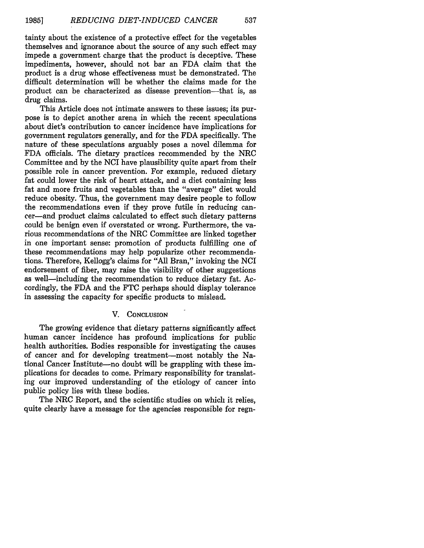537

tainty about the existence of a protective effect for the vegetables themselves and ignorance about the source of any such effect may impede a government charge that the product is deceptive. These impediments, however, should not bar an FDA claim that the product is a drug whose effectiveness must be demonstrated. The difficult determination will be whether the claims made for the product can be characterized as disease prevention—that is, as drug claims.

This Article does not intimate answers to these issues; its purpose is to depict another arena in which the recent speculations about diet's contribution to cancer incidence have implications for government regulators generally, and for the FDA specifically. The nature of these speculations arguably poses a novel dilemma for FDA officials. The dietary practices recommended by the NRC Committee and by the NCI have plausibility quite apart from their possible role in cancer prevention. For example, reduced dietary fat could lower the risk of heart attack, and a diet containing less fat and more fruits and vegetables than the "average" diet would reduce obesity. Thus, the government may desire people to follow the recommendations even if they prove futile in reducing cancer-and product claims calculated to effect such dietary patterns could be benign even if overstated or wrong. Furthermore, the various recommendations of the NRC Committee are linked together in one important sense: promotion of products fulfilling one of these recommendations may help popularize other recommendations. Therefore, Kellogg's claims for "All Bran," invoking the NCI endorsement of fiber, may raise the visibility of other suggestions as well-including the recommendation to reduce dietary fat. Accordingly, the FDA and the FTC perhaps should display tolerance in assessing the capacity for specific products to mislead.

# V. **CONCLUSION**

The growing evidence that dietary patterns significantly affect human cancer incidence has profound implications for public health authorities. Bodies responsible for investigating the causes of cancer and for developing treatment-most notably the National Cancer Institute—no doubt will be grappling with these implications for decades to come. Primary responsibility for translating our improved understanding of the etiology of cancer into public policy lies with these bodies.

The NRC Report, and the scientific studies on which it relies. quite clearly have a message for the agencies responsible for regu